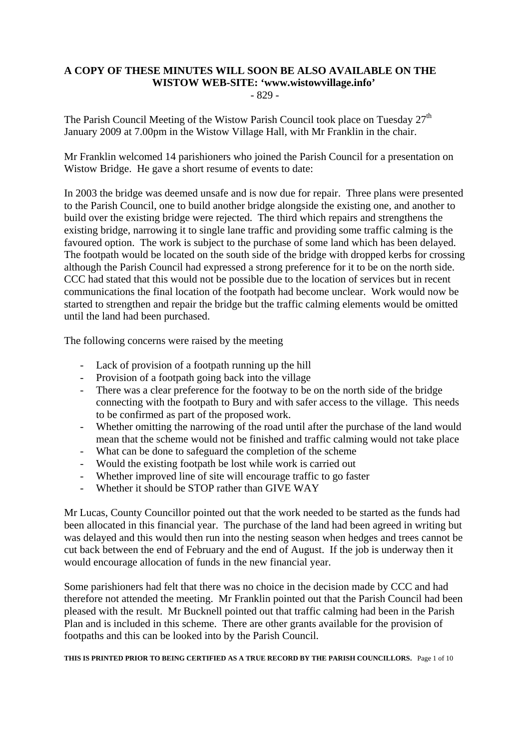## **A COPY OF THESE MINUTES WILL SOON BE ALSO AVAILABLE ON THE WISTOW WEB-SITE: 'www.wistowvillage.info'**

- 829 -

The Parish Council Meeting of the Wistow Parish Council took place on Tuesday  $27<sup>th</sup>$ January 2009 at 7.00pm in the Wistow Village Hall, with Mr Franklin in the chair.

Mr Franklin welcomed 14 parishioners who joined the Parish Council for a presentation on Wistow Bridge. He gave a short resume of events to date:

In 2003 the bridge was deemed unsafe and is now due for repair. Three plans were presented to the Parish Council, one to build another bridge alongside the existing one, and another to build over the existing bridge were rejected. The third which repairs and strengthens the existing bridge, narrowing it to single lane traffic and providing some traffic calming is the favoured option. The work is subject to the purchase of some land which has been delayed. The footpath would be located on the south side of the bridge with dropped kerbs for crossing although the Parish Council had expressed a strong preference for it to be on the north side. CCC had stated that this would not be possible due to the location of services but in recent communications the final location of the footpath had become unclear. Work would now be started to strengthen and repair the bridge but the traffic calming elements would be omitted until the land had been purchased.

The following concerns were raised by the meeting

- Lack of provision of a footpath running up the hill
- Provision of a footpath going back into the village
- There was a clear preference for the footway to be on the north side of the bridge connecting with the footpath to Bury and with safer access to the village. This needs to be confirmed as part of the proposed work.
- Whether omitting the narrowing of the road until after the purchase of the land would mean that the scheme would not be finished and traffic calming would not take place
- What can be done to safeguard the completion of the scheme
- Would the existing footpath be lost while work is carried out
- Whether improved line of site will encourage traffic to go faster
- Whether it should be STOP rather than GIVE WAY

Mr Lucas, County Councillor pointed out that the work needed to be started as the funds had been allocated in this financial year. The purchase of the land had been agreed in writing but was delayed and this would then run into the nesting season when hedges and trees cannot be cut back between the end of February and the end of August. If the job is underway then it would encourage allocation of funds in the new financial year.

Some parishioners had felt that there was no choice in the decision made by CCC and had therefore not attended the meeting. Mr Franklin pointed out that the Parish Council had been pleased with the result. Mr Bucknell pointed out that traffic calming had been in the Parish Plan and is included in this scheme. There are other grants available for the provision of footpaths and this can be looked into by the Parish Council.

**THIS IS PRINTED PRIOR TO BEING CERTIFIED AS A TRUE RECORD BY THE PARISH COUNCILLORS.** Page 1 of 10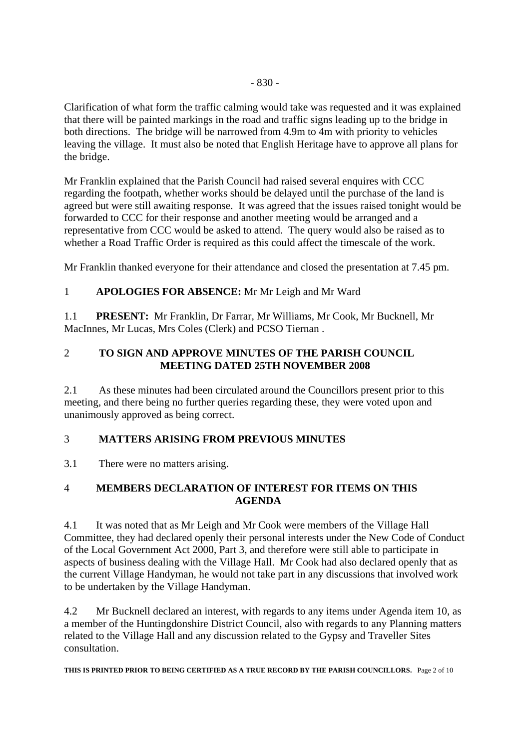Clarification of what form the traffic calming would take was requested and it was explained that there will be painted markings in the road and traffic signs leading up to the bridge in both directions. The bridge will be narrowed from 4.9m to 4m with priority to vehicles leaving the village. It must also be noted that English Heritage have to approve all plans for the bridge.

Mr Franklin explained that the Parish Council had raised several enquires with CCC regarding the footpath, whether works should be delayed until the purchase of the land is agreed but were still awaiting response. It was agreed that the issues raised tonight would be forwarded to CCC for their response and another meeting would be arranged and a representative from CCC would be asked to attend. The query would also be raised as to whether a Road Traffic Order is required as this could affect the timescale of the work.

Mr Franklin thanked everyone for their attendance and closed the presentation at 7.45 pm.

## 1 **APOLOGIES FOR ABSENCE:** Mr Mr Leigh and Mr Ward

1.1 **PRESENT:** Mr Franklin, Dr Farrar, Mr Williams, Mr Cook, Mr Bucknell, Mr MacInnes, Mr Lucas, Mrs Coles (Clerk) and PCSO Tiernan .

## 2 **TO SIGN AND APPROVE MINUTES OF THE PARISH COUNCIL MEETING DATED 25TH NOVEMBER 2008**

2.1 As these minutes had been circulated around the Councillors present prior to this meeting, and there being no further queries regarding these, they were voted upon and unanimously approved as being correct.

## 3 **MATTERS ARISING FROM PREVIOUS MINUTES**

3.1 There were no matters arising.

## 4 **MEMBERS DECLARATION OF INTEREST FOR ITEMS ON THIS AGENDA**

4.1 It was noted that as Mr Leigh and Mr Cook were members of the Village Hall Committee, they had declared openly their personal interests under the New Code of Conduct of the Local Government Act 2000, Part 3, and therefore were still able to participate in aspects of business dealing with the Village Hall. Mr Cook had also declared openly that as the current Village Handyman, he would not take part in any discussions that involved work to be undertaken by the Village Handyman.

4.2 Mr Bucknell declared an interest, with regards to any items under Agenda item 10, as a member of the Huntingdonshire District Council, also with regards to any Planning matters related to the Village Hall and any discussion related to the Gypsy and Traveller Sites consultation.

**THIS IS PRINTED PRIOR TO BEING CERTIFIED AS A TRUE RECORD BY THE PARISH COUNCILLORS.** Page 2 of 10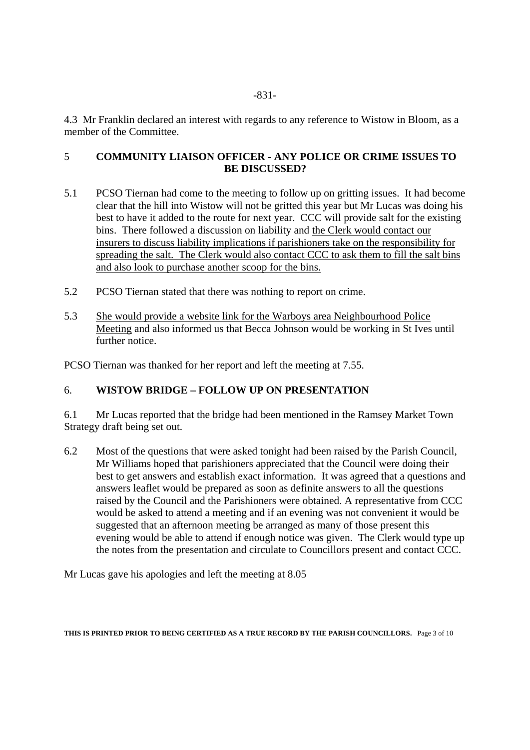4.3 Mr Franklin declared an interest with regards to any reference to Wistow in Bloom, as a member of the Committee.

### 5 **COMMUNITY LIAISON OFFICER - ANY POLICE OR CRIME ISSUES TO BE DISCUSSED?**

- 5.1 PCSO Tiernan had come to the meeting to follow up on gritting issues. It had become clear that the hill into Wistow will not be gritted this year but Mr Lucas was doing his best to have it added to the route for next year. CCC will provide salt for the existing bins. There followed a discussion on liability and the Clerk would contact our insurers to discuss liability implications if parishioners take on the responsibility for spreading the salt. The Clerk would also contact CCC to ask them to fill the salt bins and also look to purchase another scoop for the bins.
- 5.2 PCSO Tiernan stated that there was nothing to report on crime.
- 5.3 She would provide a website link for the Warboys area Neighbourhood Police Meeting and also informed us that Becca Johnson would be working in St Ives until further notice.

PCSO Tiernan was thanked for her report and left the meeting at 7.55.

## 6. **WISTOW BRIDGE – FOLLOW UP ON PRESENTATION**

6.1 Mr Lucas reported that the bridge had been mentioned in the Ramsey Market Town Strategy draft being set out.

6.2 Most of the questions that were asked tonight had been raised by the Parish Council, Mr Williams hoped that parishioners appreciated that the Council were doing their best to get answers and establish exact information. It was agreed that a questions and answers leaflet would be prepared as soon as definite answers to all the questions raised by the Council and the Parishioners were obtained. A representative from CCC would be asked to attend a meeting and if an evening was not convenient it would be suggested that an afternoon meeting be arranged as many of those present this evening would be able to attend if enough notice was given. The Clerk would type up the notes from the presentation and circulate to Councillors present and contact CCC.

Mr Lucas gave his apologies and left the meeting at 8.05

**THIS IS PRINTED PRIOR TO BEING CERTIFIED AS A TRUE RECORD BY THE PARISH COUNCILLORS.** Page 3 of 10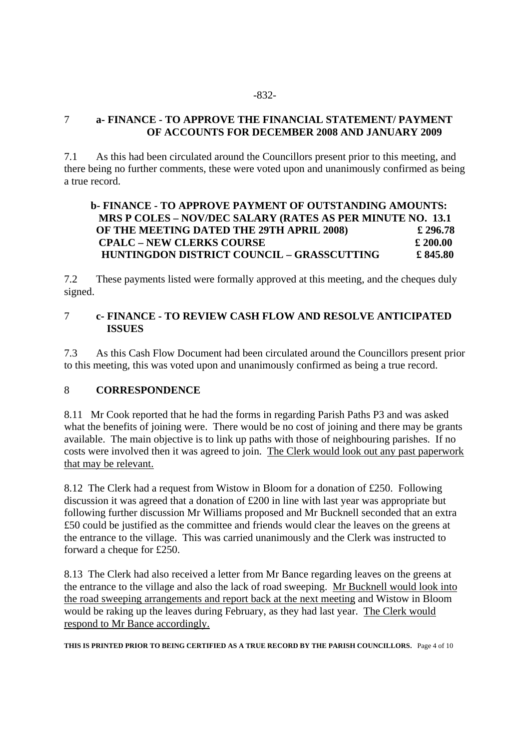#### -832-

#### 7 **a- FINANCE - TO APPROVE THE FINANCIAL STATEMENT/ PAYMENT OF ACCOUNTS FOR DECEMBER 2008 AND JANUARY 2009**

7.1 As this had been circulated around the Councillors present prior to this meeting, and there being no further comments, these were voted upon and unanimously confirmed as being a true record.

## **b- FINANCE - TO APPROVE PAYMENT OF OUTSTANDING AMOUNTS: MRS P COLES – NOV/DEC SALARY (RATES AS PER MINUTE NO. 13.1 OF THE MEETING DATED THE 29TH APRIL 2008) £ 296.78 CPALC – NEW CLERKS COURSE £ 200.00 HUNTINGDON DISTRICT COUNCIL – GRASSCUTTING £ 845.80**

7.2 These payments listed were formally approved at this meeting, and the cheques duly signed.

#### 7 **c- FINANCE - TO REVIEW CASH FLOW AND RESOLVE ANTICIPATED ISSUES**

7.3 As this Cash Flow Document had been circulated around the Councillors present prior to this meeting, this was voted upon and unanimously confirmed as being a true record.

#### 8 **CORRESPONDENCE**

8.11 Mr Cook reported that he had the forms in regarding Parish Paths P3 and was asked what the benefits of joining were. There would be no cost of joining and there may be grants available. The main objective is to link up paths with those of neighbouring parishes. If no costs were involved then it was agreed to join. The Clerk would look out any past paperwork that may be relevant.

8.12 The Clerk had a request from Wistow in Bloom for a donation of £250. Following discussion it was agreed that a donation of £200 in line with last year was appropriate but following further discussion Mr Williams proposed and Mr Bucknell seconded that an extra £50 could be justified as the committee and friends would clear the leaves on the greens at the entrance to the village. This was carried unanimously and the Clerk was instructed to forward a cheque for £250.

8.13 The Clerk had also received a letter from Mr Bance regarding leaves on the greens at the entrance to the village and also the lack of road sweeping. Mr Bucknell would look into the road sweeping arrangements and report back at the next meeting and Wistow in Bloom would be raking up the leaves during February, as they had last year. The Clerk would respond to Mr Bance accordingly.

**THIS IS PRINTED PRIOR TO BEING CERTIFIED AS A TRUE RECORD BY THE PARISH COUNCILLORS.** Page 4 of 10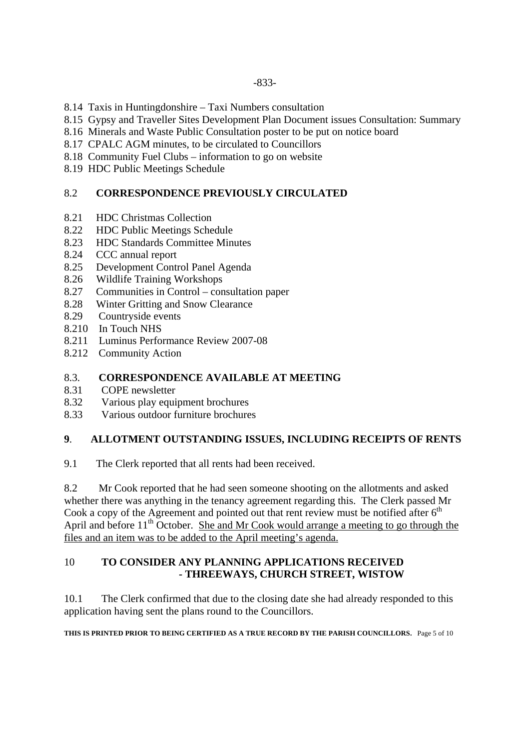- 8.14 Taxis in Huntingdonshire Taxi Numbers consultation
- 8.15 Gypsy and Traveller Sites Development Plan Document issues Consultation: Summary
- 8.16 Minerals and Waste Public Consultation poster to be put on notice board
- 8.17 CPALC AGM minutes, to be circulated to Councillors
- 8.18 Community Fuel Clubs information to go on website
- 8.19 HDC Public Meetings Schedule

## 8.2 **CORRESPONDENCE PREVIOUSLY CIRCULATED**

- 8.21 HDC Christmas Collection
- 8.22 HDC Public Meetings Schedule<br>8.23 HDC Standards Committee Min
- 8.23 HDC Standards Committee Minutes
- 8.24 CCC annual report
- 8.25 Development Control Panel Agenda
- 8.26 Wildlife Training Workshops
- 8.27 Communities in Control consultation paper
- 8.28 Winter Gritting and Snow Clearance
- 8.29 Countryside events
- 8.210 In Touch NHS
- 8.211 Luminus Performance Review 2007-08
- 8.212 Community Action

## 8.3. **CORRESPONDENCE AVAILABLE AT MEETING**

- 8.31 COPE newsletter
- 8.32 Various play equipment brochures
- 8.33 Various outdoor furniture brochures

## **9**. **ALLOTMENT OUTSTANDING ISSUES, INCLUDING RECEIPTS OF RENTS**

9.1 The Clerk reported that all rents had been received.

8.2 Mr Cook reported that he had seen someone shooting on the allotments and asked whether there was anything in the tenancy agreement regarding this. The Clerk passed Mr Cook a copy of the Agreement and pointed out that rent review must be notified after  $6<sup>th</sup>$ April and before  $11<sup>th</sup>$  October. She and Mr Cook would arrange a meeting to go through the files and an item was to be added to the April meeting's agenda.

#### 10 **TO CONSIDER ANY PLANNING APPLICATIONS RECEIVED - THREEWAYS, CHURCH STREET, WISTOW**

10.1 The Clerk confirmed that due to the closing date she had already responded to this application having sent the plans round to the Councillors.

**THIS IS PRINTED PRIOR TO BEING CERTIFIED AS A TRUE RECORD BY THE PARISH COUNCILLORS.** Page 5 of 10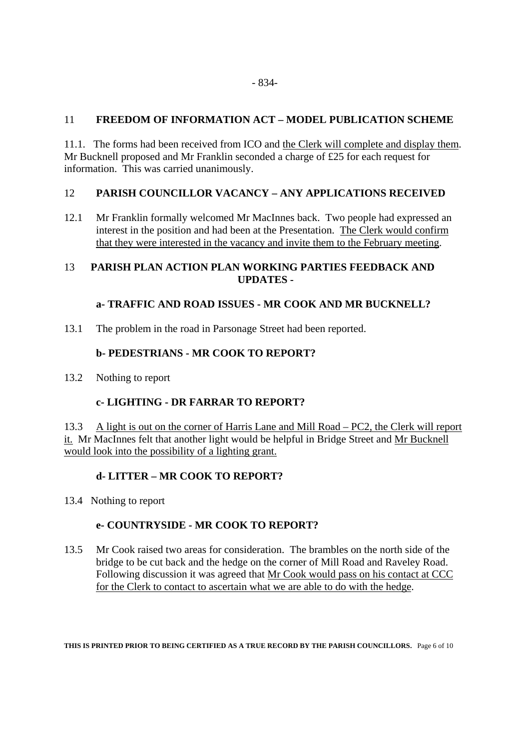### 11 **FREEDOM OF INFORMATION ACT – MODEL PUBLICATION SCHEME**

11.1. The forms had been received from ICO and the Clerk will complete and display them. Mr Bucknell proposed and Mr Franklin seconded a charge of £25 for each request for information. This was carried unanimously.

#### 12 **PARISH COUNCILLOR VACANCY – ANY APPLICATIONS RECEIVED**

12.1 Mr Franklin formally welcomed Mr MacInnes back. Two people had expressed an interest in the position and had been at the Presentation. The Clerk would confirm that they were interested in the vacancy and invite them to the February meeting.

## 13 **PARISH PLAN ACTION PLAN WORKING PARTIES FEEDBACK AND UPDATES -**

#### **a- TRAFFIC AND ROAD ISSUES - MR COOK AND MR BUCKNELL?**

13.1 The problem in the road in Parsonage Street had been reported.

#### **b- PEDESTRIANS - MR COOK TO REPORT?**

13.2 Nothing to report

## **c- LIGHTING - DR FARRAR TO REPORT?**

13.3 A light is out on the corner of Harris Lane and Mill Road – PC2, the Clerk will report it. Mr MacInnes felt that another light would be helpful in Bridge Street and Mr Bucknell would look into the possibility of a lighting grant.

## **d- LITTER – MR COOK TO REPORT?**

13.4 Nothing to report

## **e- COUNTRYSIDE - MR COOK TO REPORT?**

13.5 Mr Cook raised two areas for consideration. The brambles on the north side of the bridge to be cut back and the hedge on the corner of Mill Road and Raveley Road. Following discussion it was agreed that Mr Cook would pass on his contact at CCC for the Clerk to contact to ascertain what we are able to do with the hedge.

**THIS IS PRINTED PRIOR TO BEING CERTIFIED AS A TRUE RECORD BY THE PARISH COUNCILLORS.** Page 6 of 10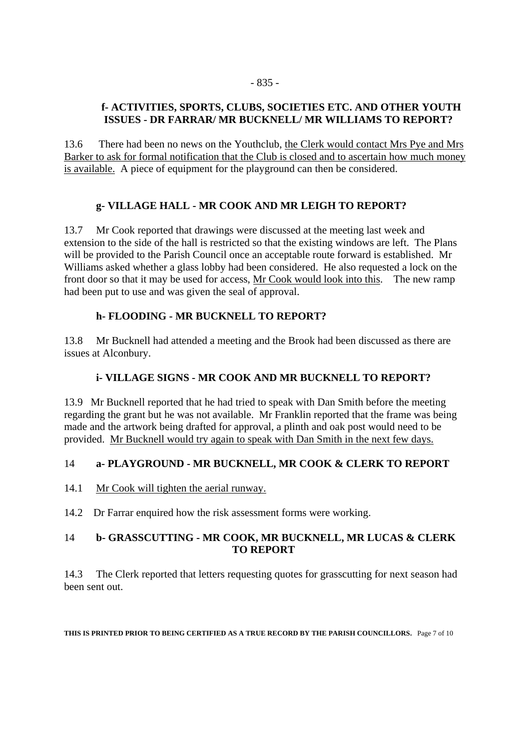## **f- ACTIVITIES, SPORTS, CLUBS, SOCIETIES ETC. AND OTHER YOUTH ISSUES - DR FARRAR/ MR BUCKNELL/ MR WILLIAMS TO REPORT?**

13.6 There had been no news on the Youthclub, the Clerk would contact Mrs Pye and Mrs Barker to ask for formal notification that the Club is closed and to ascertain how much money is available. A piece of equipment for the playground can then be considered.

## **g- VILLAGE HALL - MR COOK AND MR LEIGH TO REPORT?**

13.7 Mr Cook reported that drawings were discussed at the meeting last week and extension to the side of the hall is restricted so that the existing windows are left. The Plans will be provided to the Parish Council once an acceptable route forward is established. Mr Williams asked whether a glass lobby had been considered. He also requested a lock on the front door so that it may be used for access, Mr Cook would look into this. The new ramp had been put to use and was given the seal of approval.

## **h- FLOODING - MR BUCKNELL TO REPORT?**

13.8 Mr Bucknell had attended a meeting and the Brook had been discussed as there are issues at Alconbury.

## **i- VILLAGE SIGNS - MR COOK AND MR BUCKNELL TO REPORT?**

13.9 Mr Bucknell reported that he had tried to speak with Dan Smith before the meeting regarding the grant but he was not available. Mr Franklin reported that the frame was being made and the artwork being drafted for approval, a plinth and oak post would need to be provided. Mr Bucknell would try again to speak with Dan Smith in the next few days.

## 14 **a- PLAYGROUND - MR BUCKNELL, MR COOK & CLERK TO REPORT**

14.1 Mr Cook will tighten the aerial runway.

14.2 Dr Farrar enquired how the risk assessment forms were working.

## 14 **b- GRASSCUTTING - MR COOK, MR BUCKNELL, MR LUCAS & CLERK TO REPORT**

14.3 The Clerk reported that letters requesting quotes for grasscutting for next season had been sent out.

**THIS IS PRINTED PRIOR TO BEING CERTIFIED AS A TRUE RECORD BY THE PARISH COUNCILLORS.** Page 7 of 10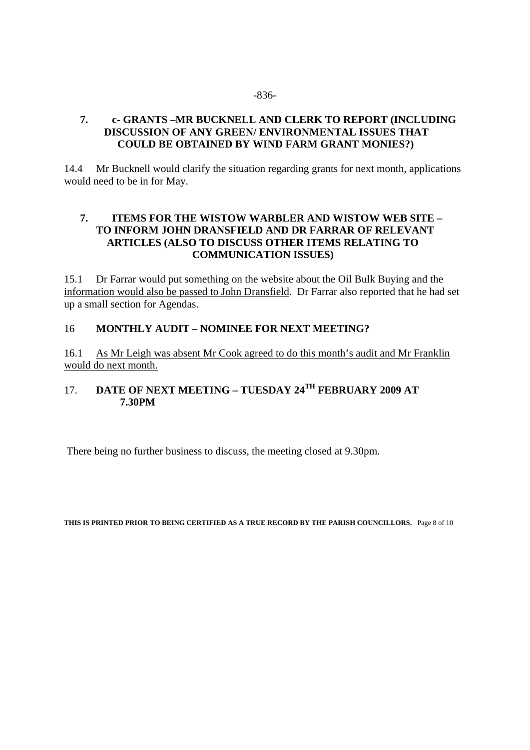#### -836-

#### **7. c- GRANTS –MR BUCKNELL AND CLERK TO REPORT (INCLUDING DISCUSSION OF ANY GREEN/ ENVIRONMENTAL ISSUES THAT COULD BE OBTAINED BY WIND FARM GRANT MONIES?)**

14.4 Mr Bucknell would clarify the situation regarding grants for next month, applications would need to be in for May.

#### **7. ITEMS FOR THE WISTOW WARBLER AND WISTOW WEB SITE – TO INFORM JOHN DRANSFIELD AND DR FARRAR OF RELEVANT ARTICLES (ALSO TO DISCUSS OTHER ITEMS RELATING TO COMMUNICATION ISSUES)**

15.1 Dr Farrar would put something on the website about the Oil Bulk Buying and the information would also be passed to John Dransfield. Dr Farrar also reported that he had set up a small section for Agendas.

#### 16 **MONTHLY AUDIT – NOMINEE FOR NEXT MEETING?**

16.1 As Mr Leigh was absent Mr Cook agreed to do this month's audit and Mr Franklin would do next month.

## 17. **DATE OF NEXT MEETING – TUESDAY 24TH FEBRUARY 2009 AT 7.30PM**

There being no further business to discuss, the meeting closed at 9.30pm.

**THIS IS PRINTED PRIOR TO BEING CERTIFIED AS A TRUE RECORD BY THE PARISH COUNCILLORS.** Page 8 of 10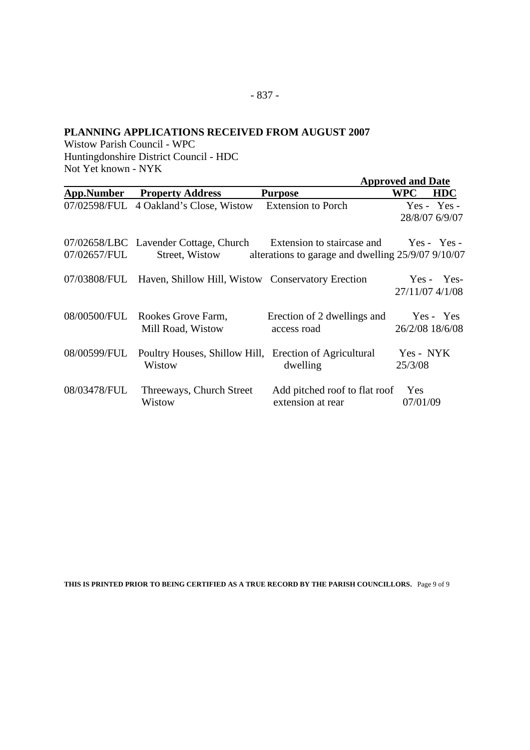#### **PLANNING APPLICATIONS RECEIVED FROM AUGUST 2007**

Wistow Parish Council - WPC Huntingdonshire District Council - HDC Not Yet known - NYK

|              |                                                                                                |                                                      | <b>Approved and Date</b> |                                 |
|--------------|------------------------------------------------------------------------------------------------|------------------------------------------------------|--------------------------|---------------------------------|
| App.Number   | <b>Property Address</b>                                                                        | <b>Purpose</b>                                       | <b>WPC</b>               | <b>HDC</b>                      |
|              | 07/02598/FUL 4 Oakland's Close, Wistow                                                         | <b>Extension to Porch</b>                            |                          | $Yes - Yes -$<br>28/8/07 6/9/07 |
| 07/02657/FUL | 07/02658/LBC Lavender Cottage, Church Extension to staircase and Yes - Yes -<br>Street, Wistow | alterations to garage and dwelling $25/9/07$ 9/10/07 |                          |                                 |
|              | 07/03808/FUL Haven, Shillow Hill, Wistow Conservatory Erection                                 |                                                      | 27/11/07 4/1/08          | $Yes - Yes$                     |
|              | 08/00500/FUL Rookes Grove Farm,<br>Mill Road, Wistow                                           | Erection of 2 dwellings and<br>access road           | 26/2/08 18/6/08          | Yes - Yes                       |
|              | 08/00599/FUL Poultry Houses, Shillow Hill, Erection of Agricultural<br>Wistow                  | dwelling                                             | Yes - NYK<br>25/3/08     |                                 |
| 08/03478/FUL | Threeways, Church Street<br>Wistow                                                             | Add pitched roof to flat roof<br>extension at rear   | Yes<br>07/01/09          |                                 |

**THIS IS PRINTED PRIOR TO BEING CERTIFIED AS A TRUE RECORD BY THE PARISH COUNCILLORS.** Page 9 of 9